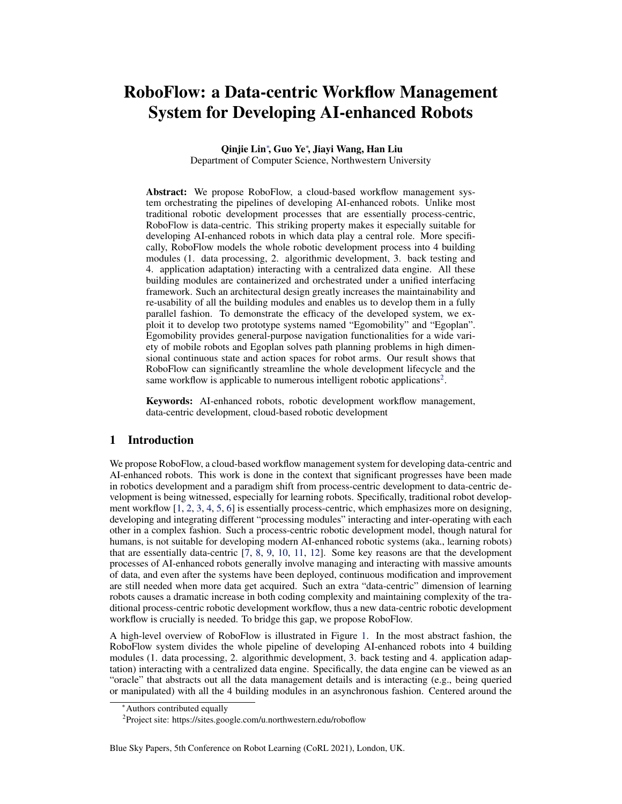# RoboFlow: a Data-centric Workflow Management System for Developing AI-enhanced Robots

Qinjie Lin<sup>∗</sup>, Guo Ye<sup>∗</sup>, Jiayi Wang, Han Liu

Department of Computer Science, Northwestern University

Abstract: We propose RoboFlow, a cloud-based workflow management system orchestrating the pipelines of developing AI-enhanced robots. Unlike most traditional robotic development processes that are essentially process-centric, RoboFlow is data-centric. This striking property makes it especially suitable for developing AI-enhanced robots in which data play a central role. More specifically, RoboFlow models the whole robotic development process into 4 building modules (1. data processing, 2. algorithmic development, 3. back testing and 4. application adaptation) interacting with a centralized data engine. All these building modules are containerized and orchestrated under a unified interfacing framework. Such an architectural design greatly increases the maintainability and re-usability of all the building modules and enables us to develop them in a fully parallel fashion. To demonstrate the efficacy of the developed system, we exploit it to develop two prototype systems named "Egomobility" and "Egoplan". Egomobility provides general-purpose navigation functionalities for a wide variety of mobile robots and Egoplan solves path planning problems in high dimensional continuous state and action spaces for robot arms. Our result shows that RoboFlow can significantly streamline the whole development lifecycle and the same workflow is applicable to numerous intelligent robotic applications<sup>2</sup>.

Keywords: AI-enhanced robots, robotic development workflow management, data-centric development, cloud-based robotic development

#### 1 Introduction

We propose RoboFlow, a cloud-based workflow management system for developing data-centric and AI-enhanced robots. This work is done in the context that significant progresses have been made in robotics development and a paradigm shift from process-centric development to data-centric development is being witnessed, especially for learning robots. Specifically, traditional robot development workflow [\[1,](#page-4-0) [2,](#page-4-0) [3,](#page-4-0) [4,](#page-4-0) [5,](#page-4-0) [6\]](#page-4-0) is essentially process-centric, which emphasizes more on designing, developing and integrating different "processing modules" interacting and inter-operating with each other in a complex fashion. Such a process-centric robotic development model, though natural for humans, is not suitable for developing modern AI-enhanced robotic systems (aka., learning robots) that are essentially data-centric [\[7,](#page-4-0) [8,](#page-4-0) [9,](#page-4-0) [10,](#page-4-0) [11,](#page-4-0) [12\]](#page-4-0). Some key reasons are that the development processes of AI-enhanced robots generally involve managing and interacting with massive amounts of data, and even after the systems have been deployed, continuous modification and improvement are still needed when more data get acquired. Such an extra "data-centric" dimension of learning robots causes a dramatic increase in both coding complexity and maintaining complexity of the traditional process-centric robotic development workflow, thus a new data-centric robotic development workflow is crucially is needed. To bridge this gap, we propose RoboFlow.

A high-level overview of RoboFlow is illustrated in Figure [1.](#page-1-0) In the most abstract fashion, the RoboFlow system divides the whole pipeline of developing AI-enhanced robots into 4 building modules (1. data processing, 2. algorithmic development, 3. back testing and 4. application adaptation) interacting with a centralized data engine. Specifically, the data engine can be viewed as an "oracle" that abstracts out all the data management details and is interacting (e.g., being queried or manipulated) with all the 4 building modules in an asynchronous fashion. Centered around the

<sup>∗</sup>Authors contributed equally

<sup>&</sup>lt;sup>2</sup>Project site: https://sites.google.com/u.northwestern.edu/roboflow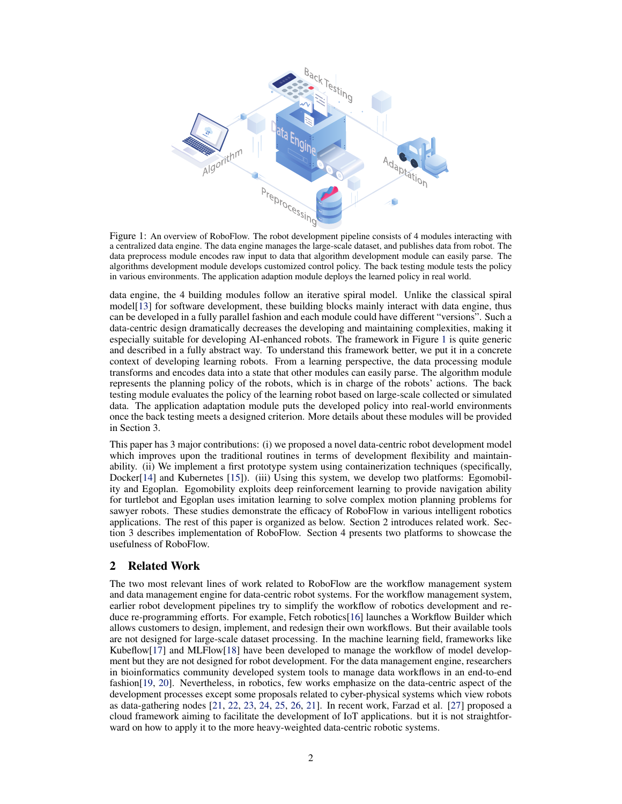<span id="page-1-0"></span>

Figure 1: An overview of RoboFlow. The robot development pipeline consists of 4 modules interacting with a centralized data engine. The data engine manages the large-scale dataset, and publishes data from robot. The data preprocess module encodes raw input to data that algorithm development module can easily parse. The algorithms development module develops customized control policy. The back testing module tests the policy in various environments. The application adaption module deploys the learned policy in real world.

data engine, the 4 building modules follow an iterative spiral model. Unlike the classical spiral model[\[13\]](#page-4-0) for software development, these building blocks mainly interact with data engine, thus can be developed in a fully parallel fashion and each module could have different "versions". Such a data-centric design dramatically decreases the developing and maintaining complexities, making it especially suitable for developing AI-enhanced robots. The framework in Figure 1 is quite generic and described in a fully abstract way. To understand this framework better, we put it in a concrete context of developing learning robots. From a learning perspective, the data processing module transforms and encodes data into a state that other modules can easily parse. The algorithm module represents the planning policy of the robots, which is in charge of the robots' actions. The back testing module evaluates the policy of the learning robot based on large-scale collected or simulated data. The application adaptation module puts the developed policy into real-world environments once the back testing meets a designed criterion. More details about these modules will be provided in Section 3.

This paper has 3 major contributions: (i) we proposed a novel data-centric robot development model which improves upon the traditional routines in terms of development flexibility and maintainability. (ii) We implement a first prototype system using containerization techniques (specifically, Docker[\[14\]](#page-4-0) and Kubernetes [\[15\]](#page-4-0)). (iii) Using this system, we develop two platforms: Egomobility and Egoplan. Egomobility exploits deep reinforcement learning to provide navigation ability for turtlebot and Egoplan uses imitation learning to solve complex motion planning problems for sawyer robots. These studies demonstrate the efficacy of RoboFlow in various intelligent robotics applications. The rest of this paper is organized as below. Section 2 introduces related work. Section 3 describes implementation of RoboFlow. Section 4 presents two platforms to showcase the usefulness of RoboFlow.

## 2 Related Work

The two most relevant lines of work related to RoboFlow are the workflow management system and data management engine for data-centric robot systems. For the workflow management system, earlier robot development pipelines try to simplify the workflow of robotics development and reduce re-programming efforts. For example, Fetch robotics[\[16\]](#page-4-0) launches a Workflow Builder which allows customers to design, implement, and redesign their own workflows. But their available tools are not designed for large-scale dataset processing. In the machine learning field, frameworks like Kubeflow[\[17\]](#page-5-0) and MLFlow[\[18\]](#page-5-0) have been developed to manage the workflow of model development but they are not designed for robot development. For the data management engine, researchers in bioinformatics community developed system tools to manage data workflows in an end-to-end fashion[\[19,](#page-5-0) [20\]](#page-5-0). Nevertheless, in robotics, few works emphasize on the data-centric aspect of the development processes except some proposals related to cyber-physical systems which view robots as data-gathering nodes [\[21,](#page-5-0) [22,](#page-5-0) [23,](#page-5-0) [24,](#page-5-0) [25,](#page-5-0) [26,](#page-5-0) [21\]](#page-5-0). In recent work, Farzad et al. [\[27\]](#page-5-0) proposed a cloud framework aiming to facilitate the development of IoT applications. but it is not straightforward on how to apply it to the more heavy-weighted data-centric robotic systems.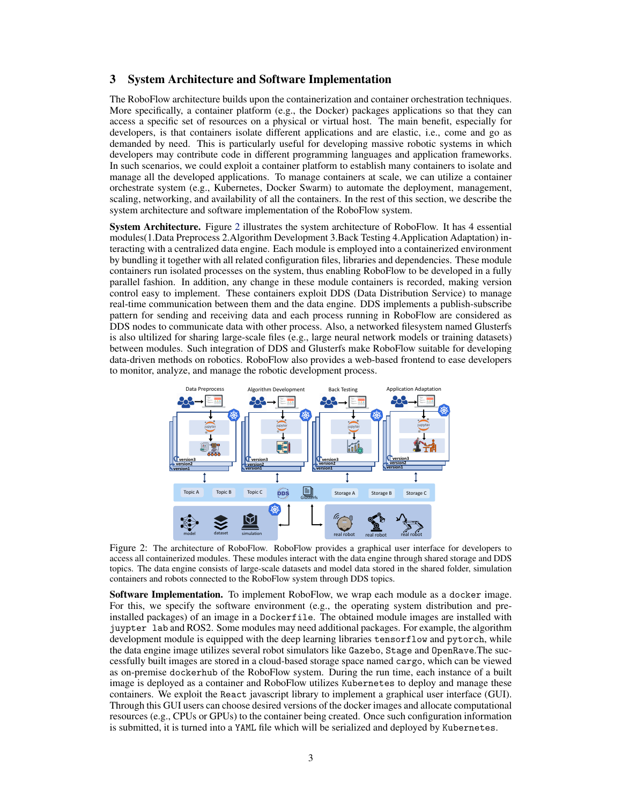#### 3 System Architecture and Software Implementation

The RoboFlow architecture builds upon the containerization and container orchestration techniques. More specifically, a container platform (e.g., the Docker) packages applications so that they can access a specific set of resources on a physical or virtual host. The main benefit, especially for developers, is that containers isolate different applications and are elastic, i.e., come and go as demanded by need. This is particularly useful for developing massive robotic systems in which developers may contribute code in different programming languages and application frameworks. In such scenarios, we could exploit a container platform to establish many containers to isolate and manage all the developed applications. To manage containers at scale, we can utilize a container orchestrate system (e.g., Kubernetes, Docker Swarm) to automate the deployment, management, scaling, networking, and availability of all the containers. In the rest of this section, we describe the system architecture and software implementation of the RoboFlow system.

**System Architecture.** Figure 2 illustrates the system architecture of RoboFlow. It has 4 essential modules(1.Data Preprocess 2.Algorithm Development 3.Back Testing 4.Application Adaptation) interacting with a centralized data engine. Each module is employed into a containerized environment by bundling it together with all related configuration files, libraries and dependencies. These module containers run isolated processes on the system, thus enabling RoboFlow to be developed in a fully parallel fashion. In addition, any change in these module containers is recorded, making version control easy to implement. These containers exploit DDS (Data Distribution Service) to manage real-time communication between them and the data engine. DDS implements a publish-subscribe pattern for sending and receiving data and each process running in RoboFlow are considered as DDS nodes to communicate data with other process. Also, a networked filesystem named Glusterfs is also ultilized for sharing large-scale files (e.g., large neural network models or training datasets) between modules. Such integration of DDS and Glusterfs make RoboFlow suitable for developing data-driven methods on robotics. RoboFlow also provides a web-based frontend to ease developers to monitor, analyze, and manage the robotic development process.



Figure 2: The architecture of RoboFlow. RoboFlow provides a graphical user interface for developers to access all containerized modules. These modules interact with the data engine through shared storage and DDS topics. The data engine consists of large-scale datasets and model data stored in the shared folder, simulation containers and robots connected to the RoboFlow system through DDS topics.

Software Implementation. To implement RoboFlow, we wrap each module as a docker image. For this, we specify the software environment (e.g., the operating system distribution and preinstalled packages) of an image in a Dockerfile. The obtained module images are installed with juypter lab and ROS2. Some modules may need additional packages. For example, the algorithm development module is equipped with the deep learning libraries tensorflow and pytorch, while the data engine image utilizes several robot simulators like Gazebo, Stage and OpenRave.The successfully built images are stored in a cloud-based storage space named cargo, which can be viewed as on-premise dockerhub of the RoboFlow system. During the run time, each instance of a built image is deployed as a container and RoboFlow utilizes Kubernetes to deploy and manage these containers. We exploit the React javascript library to implement a graphical user interface (GUI). Through this GUI users can choose desired versions of the docker images and allocate computational resources (e.g., CPUs or GPUs) to the container being created. Once such configuration information is submitted, it is turned into a YAML file which will be serialized and deployed by Kubernetes.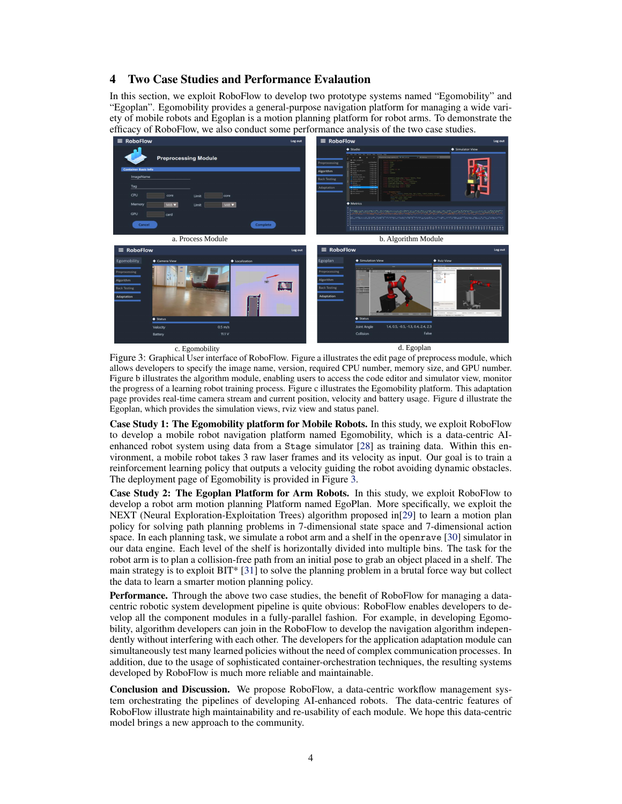## 4 Two Case Studies and Performance Evalaution

In this section, we exploit RoboFlow to develop two prototype systems named "Egomobility" and "Egoplan". Egomobility provides a general-purpose navigation platform for managing a wide variety of mobile robots and Egoplan is a motion planning platform for robot arms. To demonstrate the efficacy of RoboFlow, we also conduct some performance analysis of the two case studies.



Figure 3: Graphical User interface of RoboFlow. Figure a illustrates the edit page of preprocess module, which allows developers to specify the image name, version, required CPU number, memory size, and GPU number. Figure b illustrates the algorithm module, enabling users to access the code editor and simulator view, monitor the progress of a learning robot training process. Figure c illustrates the Egomobility platform. This adaptation page provides real-time camera stream and current position, velocity and battery usage. Figure d illustrate the Egoplan, which provides the simulation views, rviz view and status panel.

Case Study 1: The Egomobility platform for Mobile Robots. In this study, we exploit RoboFlow to develop a mobile robot navigation platform named Egomobility, which is a data-centric AIenhanced robot system using data from a Stage simulator [\[28\]](#page-5-0) as training data. Within this environment, a mobile robot takes 3 raw laser frames and its velocity as input. Our goal is to train a reinforcement learning policy that outputs a velocity guiding the robot avoiding dynamic obstacles. The deployment page of Egomobility is provided in Figure 3.

Case Study 2: The Egoplan Platform for Arm Robots. In this study, we exploit RoboFlow to develop a robot arm motion planning Platform named EgoPlan. More specifically, we exploit the NEXT (Neural Exploration-Exploitation Trees) algorithm proposed in[\[29\]](#page-5-0) to learn a motion plan policy for solving path planning problems in 7-dimensional state space and 7-dimensional action space. In each planning task, we simulate a robot arm and a shelf in the openrave [\[30\]](#page-5-0) simulator in our data engine. Each level of the shelf is horizontally divided into multiple bins. The task for the robot arm is to plan a collision-free path from an initial pose to grab an object placed in a shelf. The main strategy is to exploit BIT\* [\[31\]](#page-5-0) to solve the planning problem in a brutal force way but collect the data to learn a smarter motion planning policy.

Performance. Through the above two case studies, the benefit of RoboFlow for managing a datacentric robotic system development pipeline is quite obvious: RoboFlow enables developers to develop all the component modules in a fully-parallel fashion. For example, in developing Egomobility, algorithm developers can join in the RoboFlow to develop the navigation algorithm independently without interfering with each other. The developers for the application adaptation module can simultaneously test many learned policies without the need of complex communication processes. In addition, due to the usage of sophisticated container-orchestration techniques, the resulting systems developed by RoboFlow is much more reliable and maintainable.

Conclusion and Discussion. We propose RoboFlow, a data-centric workflow management system orchestrating the pipelines of developing AI-enhanced robots. The data-centric features of RoboFlow illustrate high maintainability and re-usability of each module. We hope this data-centric model brings a new approach to the community.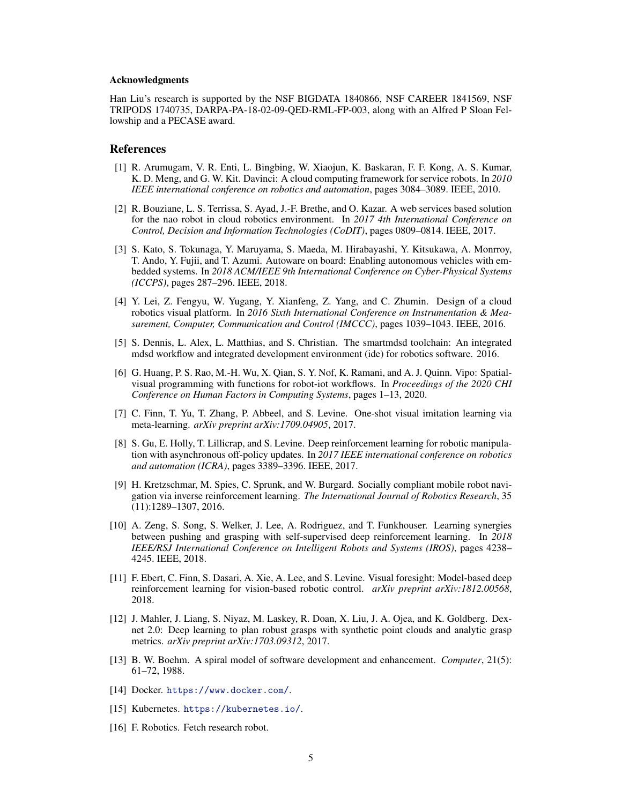#### <span id="page-4-0"></span>Acknowledgments

Han Liu's research is supported by the NSF BIGDATA 1840866, NSF CAREER 1841569, NSF TRIPODS 1740735, DARPA-PA-18-02-09-QED-RML-FP-003, along with an Alfred P Sloan Fellowship and a PECASE award.

#### References

- [1] R. Arumugam, V. R. Enti, L. Bingbing, W. Xiaojun, K. Baskaran, F. F. Kong, A. S. Kumar, K. D. Meng, and G. W. Kit. Davinci: A cloud computing framework for service robots. In *2010 IEEE international conference on robotics and automation*, pages 3084–3089. IEEE, 2010.
- [2] R. Bouziane, L. S. Terrissa, S. Ayad, J.-F. Brethe, and O. Kazar. A web services based solution for the nao robot in cloud robotics environment. In *2017 4th International Conference on Control, Decision and Information Technologies (CoDIT)*, pages 0809–0814. IEEE, 2017.
- [3] S. Kato, S. Tokunaga, Y. Maruyama, S. Maeda, M. Hirabayashi, Y. Kitsukawa, A. Monrroy, T. Ando, Y. Fujii, and T. Azumi. Autoware on board: Enabling autonomous vehicles with embedded systems. In *2018 ACM/IEEE 9th International Conference on Cyber-Physical Systems (ICCPS)*, pages 287–296. IEEE, 2018.
- [4] Y. Lei, Z. Fengyu, W. Yugang, Y. Xianfeng, Z. Yang, and C. Zhumin. Design of a cloud robotics visual platform. In *2016 Sixth International Conference on Instrumentation & Measurement, Computer, Communication and Control (IMCCC)*, pages 1039–1043. IEEE, 2016.
- [5] S. Dennis, L. Alex, L. Matthias, and S. Christian. The smartmdsd toolchain: An integrated mdsd workflow and integrated development environment (ide) for robotics software. 2016.
- [6] G. Huang, P. S. Rao, M.-H. Wu, X. Qian, S. Y. Nof, K. Ramani, and A. J. Quinn. Vipo: Spatialvisual programming with functions for robot-iot workflows. In *Proceedings of the 2020 CHI Conference on Human Factors in Computing Systems*, pages 1–13, 2020.
- [7] C. Finn, T. Yu, T. Zhang, P. Abbeel, and S. Levine. One-shot visual imitation learning via meta-learning. *arXiv preprint arXiv:1709.04905*, 2017.
- [8] S. Gu, E. Holly, T. Lillicrap, and S. Levine. Deep reinforcement learning for robotic manipulation with asynchronous off-policy updates. In *2017 IEEE international conference on robotics and automation (ICRA)*, pages 3389–3396. IEEE, 2017.
- [9] H. Kretzschmar, M. Spies, C. Sprunk, and W. Burgard. Socially compliant mobile robot navigation via inverse reinforcement learning. *The International Journal of Robotics Research*, 35 (11):1289–1307, 2016.
- [10] A. Zeng, S. Song, S. Welker, J. Lee, A. Rodriguez, and T. Funkhouser. Learning synergies between pushing and grasping with self-supervised deep reinforcement learning. In *2018 IEEE/RSJ International Conference on Intelligent Robots and Systems (IROS)*, pages 4238– 4245. IEEE, 2018.
- [11] F. Ebert, C. Finn, S. Dasari, A. Xie, A. Lee, and S. Levine. Visual foresight: Model-based deep reinforcement learning for vision-based robotic control. *arXiv preprint arXiv:1812.00568*, 2018.
- [12] J. Mahler, J. Liang, S. Niyaz, M. Laskey, R. Doan, X. Liu, J. A. Ojea, and K. Goldberg. Dexnet 2.0: Deep learning to plan robust grasps with synthetic point clouds and analytic grasp metrics. *arXiv preprint arXiv:1703.09312*, 2017.
- [13] B. W. Boehm. A spiral model of software development and enhancement. *Computer*, 21(5): 61–72, 1988.
- [14] Docker. <https://www.docker.com/>.
- [15] Kubernetes. <https://kubernetes.io/>.
- [16] F. Robotics. Fetch research robot.